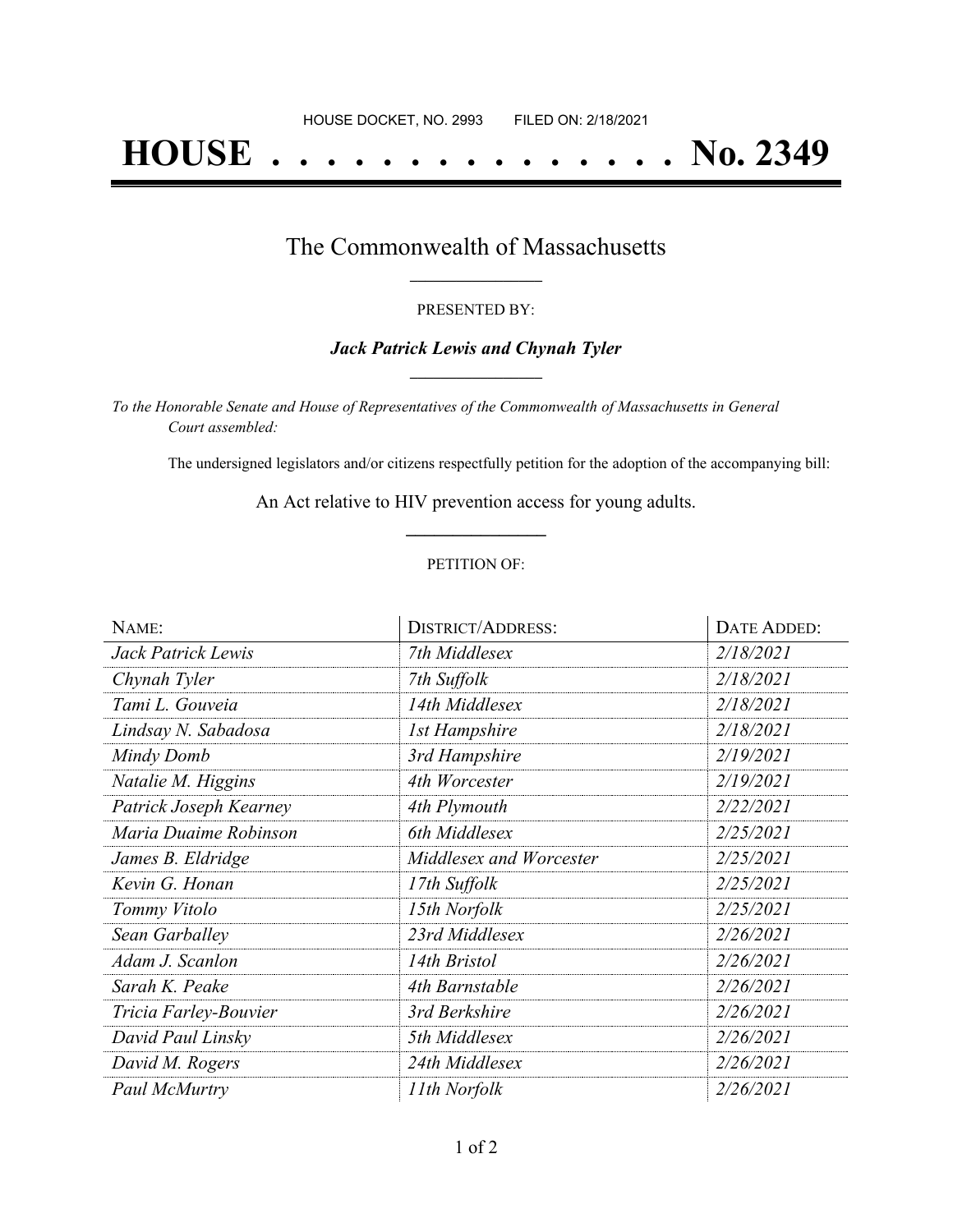# **HOUSE . . . . . . . . . . . . . . . No. 2349**

### The Commonwealth of Massachusetts **\_\_\_\_\_\_\_\_\_\_\_\_\_\_\_\_\_**

#### PRESENTED BY:

#### *Jack Patrick Lewis and Chynah Tyler* **\_\_\_\_\_\_\_\_\_\_\_\_\_\_\_\_\_**

*To the Honorable Senate and House of Representatives of the Commonwealth of Massachusetts in General Court assembled:*

The undersigned legislators and/or citizens respectfully petition for the adoption of the accompanying bill:

An Act relative to HIV prevention access for young adults. **\_\_\_\_\_\_\_\_\_\_\_\_\_\_\_**

#### PETITION OF:

| NAME:                  | <b>DISTRICT/ADDRESS:</b> | DATE ADDED: |
|------------------------|--------------------------|-------------|
| Jack Patrick Lewis     | 7th Middlesex            | 2/18/2021   |
| Chynah Tyler           | 7th Suffolk              | 2/18/2021   |
| Tami L. Gouveia        | 14th Middlesex           | 2/18/2021   |
| Lindsay N. Sabadosa    | 1st Hampshire            | 2/18/2021   |
| Mindy Domb             | 3rd Hampshire            | 2/19/2021   |
| Natalie M. Higgins     | 4th Worcester            | 2/19/2021   |
| Patrick Joseph Kearney | 4th Plymouth             | 2/22/2021   |
| Maria Duaime Robinson  | 6th Middlesex            | 2/25/2021   |
| James B. Eldridge      | Middlesex and Worcester  | 2/25/2021   |
| Kevin G. Honan         | 17th Suffolk             | 2/25/2021   |
| Tommy Vitolo           | 15th Norfolk             | 2/25/2021   |
| Sean Garballey         | 23rd Middlesex           | 2/26/2021   |
| Adam J. Scanlon        | 14th Bristol             | 2/26/2021   |
| Sarah K. Peake         | 4th Barnstable           | 2/26/2021   |
| Tricia Farley-Bouvier  | 3rd Berkshire            | 2/26/2021   |
| David Paul Linsky      | 5th Middlesex            | 2/26/2021   |
| David M. Rogers        | 24th Middlesex           | 2/26/2021   |
| Paul McMurtry          | 11th Norfolk             | 2/26/2021   |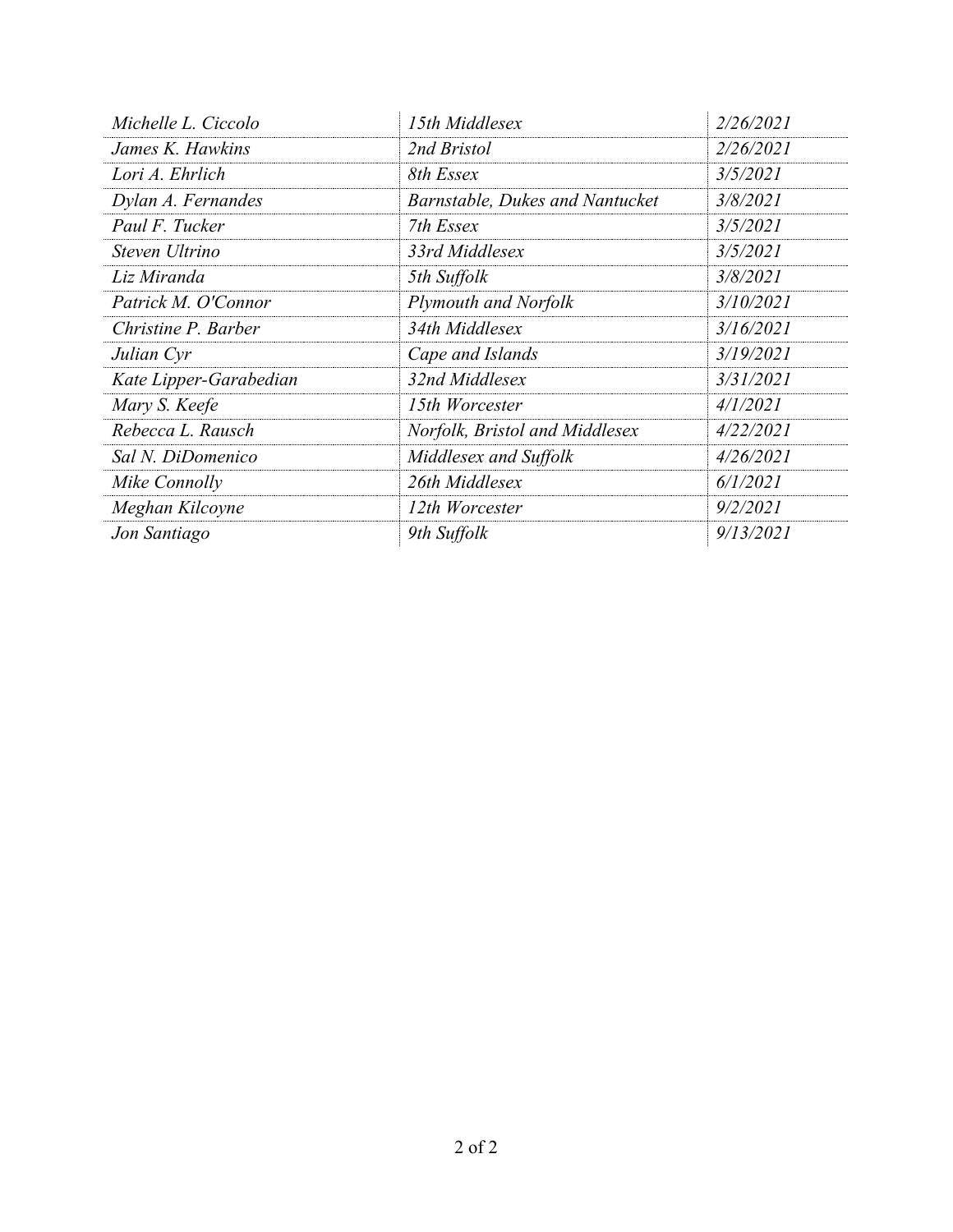| Michelle L. Ciccolo    | 15th Middlesex                  | 2/26/2021 |
|------------------------|---------------------------------|-----------|
| James K. Hawkins       | 2nd Bristol                     | 2/26/2021 |
| Lori A. Ehrlich        | 8th Essex                       | 3/5/2021  |
| Dylan A. Fernandes     | Barnstable, Dukes and Nantucket | 3/8/2021  |
| Paul F. Tucker         | 7th Essex                       | 3/5/2021  |
| Steven Ultrino         | 33rd Middlesex                  | 3/5/2021  |
| Liz Miranda            | 5th Suffolk                     | 3/8/2021  |
| Patrick M. O'Connor    | <b>Plymouth and Norfolk</b>     | 3/10/2021 |
| Christine P. Barber    | 34th Middlesex                  | 3/16/2021 |
| Julian Cyr             | Cape and Islands                | 3/19/2021 |
| Kate Lipper-Garabedian | 32nd Middlesex                  | 3/31/2021 |
| Mary S. Keefe          | 15th Worcester                  | 4/1/2021  |
| Rebecca L. Rausch      | Norfolk, Bristol and Middlesex  | 4/22/2021 |
| Sal N. DiDomenico      | Middlesex and Suffolk           | 4/26/2021 |
| Mike Connolly          | 26th Middlesex                  | 6/1/2021  |
| Meghan Kilcoyne        | 12th Worcester                  | 9/2/2021  |
| Jon Santiago           | 9th Suffolk                     | 9/13/2021 |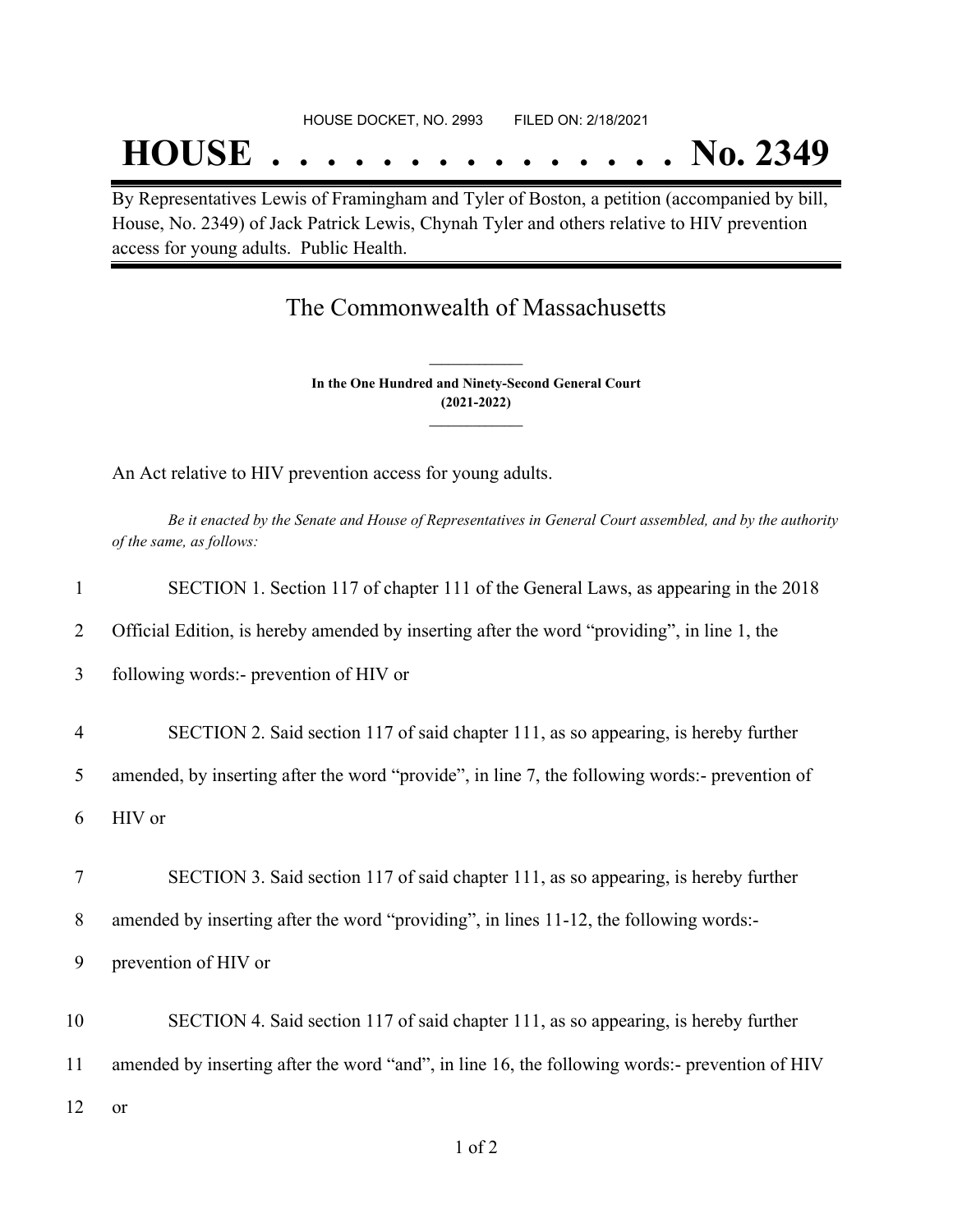## **HOUSE . . . . . . . . . . . . . . . No. 2349**

By Representatives Lewis of Framingham and Tyler of Boston, a petition (accompanied by bill, House, No. 2349) of Jack Patrick Lewis, Chynah Tyler and others relative to HIV prevention access for young adults. Public Health.

## The Commonwealth of Massachusetts

**In the One Hundred and Ninety-Second General Court (2021-2022) \_\_\_\_\_\_\_\_\_\_\_\_\_\_\_**

**\_\_\_\_\_\_\_\_\_\_\_\_\_\_\_**

An Act relative to HIV prevention access for young adults.

Be it enacted by the Senate and House of Representatives in General Court assembled, and by the authority *of the same, as follows:*

| $\mathbf{1}$   | SECTION 1. Section 117 of chapter 111 of the General Laws, as appearing in the 2018            |
|----------------|------------------------------------------------------------------------------------------------|
| 2              | Official Edition, is hereby amended by inserting after the word "providing", in line 1, the    |
| 3              | following words:- prevention of HIV or                                                         |
| $\overline{4}$ | SECTION 2. Said section 117 of said chapter 111, as so appearing, is hereby further            |
| 5              | amended, by inserting after the word "provide", in line 7, the following words:- prevention of |
| 6              | HIV or                                                                                         |
|                |                                                                                                |
| 7              | SECTION 3. Said section 117 of said chapter 111, as so appearing, is hereby further            |
| 8              | amended by inserting after the word "providing", in lines 11-12, the following words:-         |
| 9              | prevention of HIV or                                                                           |
| 10             | SECTION 4. Said section 117 of said chapter 111, as so appearing, is hereby further            |
| 11             | amended by inserting after the word "and", in line 16, the following words:- prevention of HIV |